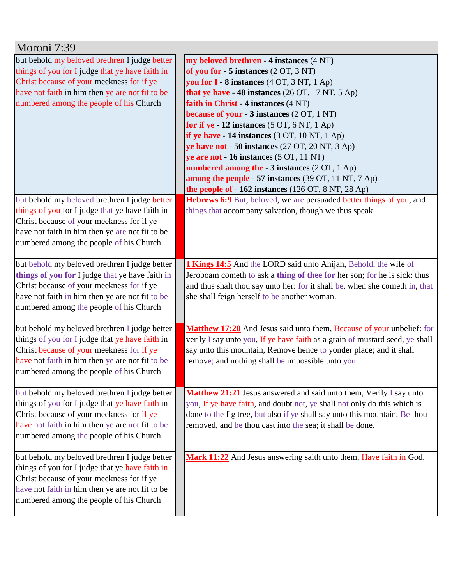| Moroni 7:39                                                                                      |                                                                                                                                                       |
|--------------------------------------------------------------------------------------------------|-------------------------------------------------------------------------------------------------------------------------------------------------------|
| but behold my beloved brethren I judge better                                                    | my beloved brethren - 4 instances (4 NT)                                                                                                              |
| things of you for I judge that ye have faith in                                                  | of you for $-5$ instances $(2 OT, 3 NT)$                                                                                                              |
| Christ because of your meekness for if ye                                                        | you for I - 8 instances (4 OT, 3 NT, 1 Ap)                                                                                                            |
| have not faith in him then ye are not fit to be                                                  | that ye have - 48 instances (26 OT, 17 NT, 5 Ap)                                                                                                      |
| numbered among the people of his Church                                                          | faith in Christ - 4 instances (4 NT)                                                                                                                  |
|                                                                                                  | because of your - 3 instances (2 OT, 1 NT)                                                                                                            |
|                                                                                                  | for if ye - 12 instances $(5 OT, 6 NT, 1 Ap)$                                                                                                         |
|                                                                                                  | if ye have $-14$ instances (3 OT, 10 NT, 1 Ap)                                                                                                        |
|                                                                                                  | ye have not - 50 instances (27 OT, 20 NT, 3 Ap)                                                                                                       |
|                                                                                                  | ye are not - 16 instances (5 OT, 11 NT)                                                                                                               |
|                                                                                                  | numbered among the - 3 instances (2 OT, 1 Ap)                                                                                                         |
|                                                                                                  | among the people - 57 instances (39 OT, 11 NT, 7 Ap)                                                                                                  |
|                                                                                                  | the people of $-162$ instances (126 OT, 8 NT, 28 Ap)                                                                                                  |
| but behold my beloved brethren I judge better                                                    | <b>Hebrews 6:9</b> But, beloved, we are persuaded better things of you, and                                                                           |
| things of you for I judge that ye have faith in                                                  | things that accompany salvation, though we thus speak.                                                                                                |
| Christ because of your meekness for if ye                                                        |                                                                                                                                                       |
| have not faith in him then ye are not fit to be                                                  |                                                                                                                                                       |
| numbered among the people of his Church                                                          |                                                                                                                                                       |
|                                                                                                  |                                                                                                                                                       |
| but behold my beloved brethren I judge better                                                    | 1 Kings 14:5 And the LORD said unto Ahijah, Behold, the wife of                                                                                       |
| things of you for I judge that ye have faith in                                                  | Jeroboam cometh to ask a thing of thee for her son; for he is sick: thus                                                                              |
| Christ because of your meekness for if ye                                                        | and thus shalt thou say unto her: for it shall be, when she cometh in, that                                                                           |
| have not faith in him then ye are not fit to be                                                  | she shall feign herself to be another woman.                                                                                                          |
| numbered among the people of his Church                                                          |                                                                                                                                                       |
|                                                                                                  |                                                                                                                                                       |
| but behold my beloved brethren I judge better<br>things of you for I judge that ye have faith in | Matthew 17:20 And Jesus said unto them, Because of your unbelief: for<br>verily I say unto you, If ye have faith as a grain of mustard seed, ye shall |
| Christ because of your meekness for if ye                                                        | say unto this mountain, Remove hence to yonder place; and it shall                                                                                    |
| have not faith in him then ye are not fit to be                                                  | remove; and nothing shall be impossible unto you.                                                                                                     |
| numbered among the people of his Church                                                          |                                                                                                                                                       |
|                                                                                                  |                                                                                                                                                       |
| but behold my beloved brethren I judge better                                                    | Matthew 21:21 Jesus answered and said unto them, Verily I say unto                                                                                    |
| things of you for I judge that ye have faith in                                                  | you, If ye have faith, and doubt not, ye shall not only do this which is                                                                              |
| Christ because of your meekness for if ye                                                        | done to the fig tree, but also if ye shall say unto this mountain, Be thou                                                                            |
| have not faith in him then ye are not fit to be                                                  | removed, and be thou cast into the sea; it shall be done.                                                                                             |
| numbered among the people of his Church                                                          |                                                                                                                                                       |
|                                                                                                  |                                                                                                                                                       |
| but behold my beloved brethren I judge better                                                    | Mark 11:22 And Jesus answering saith unto them, Have faith in God.                                                                                    |
| things of you for I judge that ye have faith in                                                  |                                                                                                                                                       |
| Christ because of your meekness for if ye                                                        |                                                                                                                                                       |
| have not faith in him then ye are not fit to be                                                  |                                                                                                                                                       |
| numbered among the people of his Church                                                          |                                                                                                                                                       |
|                                                                                                  |                                                                                                                                                       |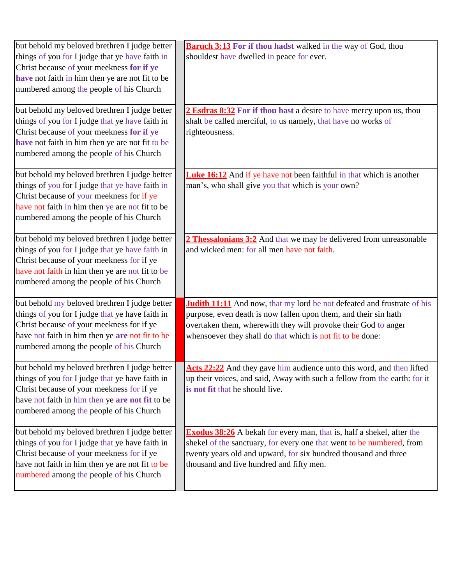| but behold my beloved brethren I judge better   | <b>Baruch 3:13</b> For if thou hadst walked in the way of God, thou            |
|-------------------------------------------------|--------------------------------------------------------------------------------|
| things of you for I judge that ye have faith in | shouldest have dwelled in peace for ever.                                      |
| Christ because of your meekness for if ye       |                                                                                |
| have not faith in him then ye are not fit to be |                                                                                |
| numbered among the people of his Church         |                                                                                |
| but behold my beloved brethren I judge better   | 2 Esdras 8:32 For if thou hast a desire to have mercy upon us, thou            |
| things of you for I judge that ye have faith in | shalt be called merciful, to us namely, that have no works of                  |
| Christ because of your meekness for if ye       | righteousness.                                                                 |
| have not faith in him then ye are not fit to be |                                                                                |
| numbered among the people of his Church         |                                                                                |
| but behold my beloved brethren I judge better   | <b>Luke 16:12</b> And if ye have not been faithful in that which is another    |
| things of you for I judge that ye have faith in | man's, who shall give you that which is your own?                              |
| Christ because of your meekness for if ye       |                                                                                |
| have not faith in him then ye are not fit to be |                                                                                |
| numbered among the people of his Church         |                                                                                |
| but behold my beloved brethren I judge better   | 2 Thessalonians 3:2 And that we may be delivered from unreasonable             |
| things of you for I judge that ye have faith in | and wicked men: for all men have not faith.                                    |
| Christ because of your meekness for if ye       |                                                                                |
| have not faith in him then ye are not fit to be |                                                                                |
| numbered among the people of his Church         |                                                                                |
| but behold my beloved brethren I judge better   | <b>Judith 11:11</b> And now, that my lord be not defeated and frustrate of his |
| things of you for I judge that ye have faith in | purpose, even death is now fallen upon them, and their sin hath                |
| Christ because of your meekness for if ye       | overtaken them, wherewith they will provoke their God to anger                 |
| have not faith in him then ye are not fit to be | whensoever they shall do that which is not fit to be done:                     |
| numbered among the people of his Church         |                                                                                |
| but behold my beloved brethren I judge better   | Acts 22:22 And they gave him audience unto this word, and then lifted          |
| things of you for I judge that ye have faith in | up their voices, and said, Away with such a fellow from the earth: for it      |
| Christ because of your meekness for if ye       | is not fit that he should live.                                                |
| have not faith in him then ye are not fit to be |                                                                                |
| numbered among the people of his Church         |                                                                                |
| but behold my beloved brethren I judge better   | <b>Exodus 38:26</b> A bekah for every man, that is, half a shekel, after the   |
| things of you for I judge that ye have faith in | shekel of the sanctuary, for every one that went to be numbered, from          |
| Christ because of your meekness for if ye       | twenty years old and upward, for six hundred thousand and three                |
| have not faith in him then ye are not fit to be | thousand and five hundred and fifty men.                                       |
| numbered among the people of his Church         |                                                                                |
|                                                 |                                                                                |